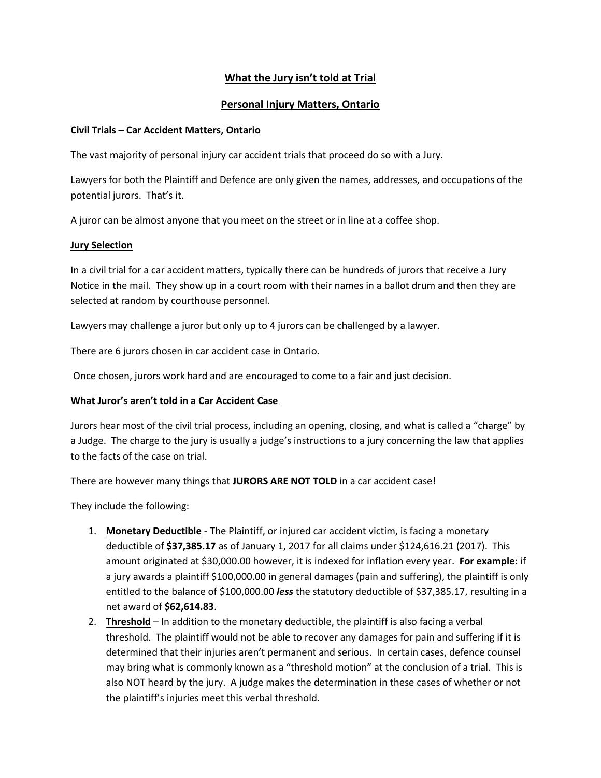# **What the Jury isn't told at Trial**

## **Personal Injury Matters, Ontario**

#### **Civil Trials – Car Accident Matters, Ontario**

The vast majority of personal injury car accident trials that proceed do so with a Jury.

Lawyers for both the Plaintiff and Defence are only given the names, addresses, and occupations of the potential jurors. That's it.

A juror can be almost anyone that you meet on the street or in line at a coffee shop.

#### **Jury Selection**

In a civil trial for a car accident matters, typically there can be hundreds of jurors that receive a Jury Notice in the mail. They show up in a court room with their names in a ballot drum and then they are selected at random by courthouse personnel.

Lawyers may challenge a juror but only up to 4 jurors can be challenged by a lawyer.

There are 6 jurors chosen in car accident case in Ontario.

Once chosen, jurors work hard and are encouraged to come to a fair and just decision.

### **What Juror's aren't told in a Car Accident Case**

Jurors hear most of the civil trial process, including an opening, closing, and what is called a "charge" by a Judge. The charge to the jury is usually a judge's instructions to a jury concerning the law that applies to the facts of the case on trial.

There are however many things that **JURORS ARE NOT TOLD** in a car accident case!

They include the following:

- 1. **Monetary Deductible** The Plaintiff, or injured car accident victim, is facing a monetary deductible of **\$37,385.17** as of January 1, 2017 for all claims under \$124,616.21 (2017). This amount originated at \$30,000.00 however, it is indexed for inflation every year. **For example**: if a jury awards a plaintiff \$100,000.00 in general damages (pain and suffering), the plaintiff is only entitled to the balance of \$100,000.00 *less* the statutory deductible of \$37,385.17, resulting in a net award of **\$62,614.83**.
- 2. **Threshold** In addition to the monetary deductible, the plaintiff is also facing a verbal threshold. The plaintiff would not be able to recover any damages for pain and suffering if it is determined that their injuries aren't permanent and serious. In certain cases, defence counsel may bring what is commonly known as a "threshold motion" at the conclusion of a trial. This is also NOT heard by the jury. A judge makes the determination in these cases of whether or not the plaintiff's injuries meet this verbal threshold.